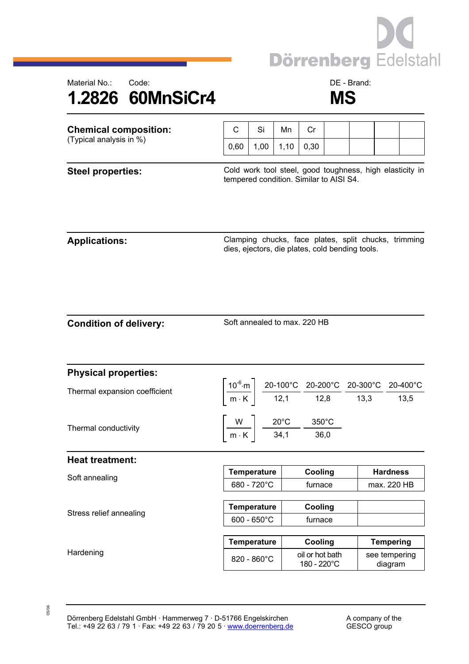



| <b>Chemical composition:</b><br>(Typical analysis in %) | С                                                                                                   | Si   | Mn                                                                                   | Cr                             |  |                                                                                                                                                                                                                 |                          |  |
|---------------------------------------------------------|-----------------------------------------------------------------------------------------------------|------|--------------------------------------------------------------------------------------|--------------------------------|--|-----------------------------------------------------------------------------------------------------------------------------------------------------------------------------------------------------------------|--------------------------|--|
|                                                         | 0,60                                                                                                | 1,00 | 1,10                                                                                 | 0,30                           |  |                                                                                                                                                                                                                 |                          |  |
| <b>Steel properties:</b>                                | Cold work tool steel, good toughness, high elasticity in<br>tempered condition. Similar to AISI S4. |      |                                                                                      |                                |  |                                                                                                                                                                                                                 |                          |  |
| <b>Applications:</b>                                    |                                                                                                     |      |                                                                                      |                                |  | Clamping chucks, face plates, split chucks, trimming<br>dies, ejectors, die plates, cold bending tools.                                                                                                         |                          |  |
| <b>Condition of delivery:</b>                           | Soft annealed to max. 220 HB                                                                        |      |                                                                                      |                                |  |                                                                                                                                                                                                                 |                          |  |
| <b>Physical properties:</b>                             |                                                                                                     |      |                                                                                      |                                |  |                                                                                                                                                                                                                 |                          |  |
| Thermal expansion coefficient                           |                                                                                                     |      |                                                                                      |                                |  | $\left[\frac{10^{-6}\text{·m}}{\text{m} \cdot \text{K}}\right] \frac{\text{20-100°C}}{\text{12,1}} \frac{\text{20-200°C}}{\text{12,8}} \frac{\text{20-300°C}}{\text{13,3}} \frac{\text{20-400°C}}{\text{13,5}}$ |                          |  |
| Thermal conductivity                                    |                                                                                                     |      | $\left[\frac{W}{m\cdot K}\right] \frac{20^{\circ}C}{34,1} \frac{350^{\circ}C}{36,0}$ |                                |  |                                                                                                                                                                                                                 |                          |  |
| <b>Heat treatment:</b>                                  |                                                                                                     |      |                                                                                      |                                |  |                                                                                                                                                                                                                 |                          |  |
| Soft annealing                                          | Temperature                                                                                         |      |                                                                                      | Cooling                        |  |                                                                                                                                                                                                                 | <b>Hardness</b>          |  |
|                                                         | 680 - 720°C                                                                                         |      |                                                                                      | furnace                        |  |                                                                                                                                                                                                                 | max. 220 HB              |  |
| Stress relief annealing                                 | <b>Temperature</b>                                                                                  |      |                                                                                      | Cooling                        |  |                                                                                                                                                                                                                 |                          |  |
|                                                         | $600 - 650^{\circ}$ C                                                                               |      |                                                                                      | furnace                        |  |                                                                                                                                                                                                                 |                          |  |
|                                                         | <b>Temperature</b>                                                                                  |      |                                                                                      | Cooling                        |  | <b>Tempering</b>                                                                                                                                                                                                |                          |  |
| Hardening                                               | 820 - 860°C                                                                                         |      |                                                                                      | oil or hot bath<br>180 - 220°C |  |                                                                                                                                                                                                                 | see tempering<br>diagram |  |
|                                                         |                                                                                                     |      |                                                                                      |                                |  |                                                                                                                                                                                                                 |                          |  |

05/06